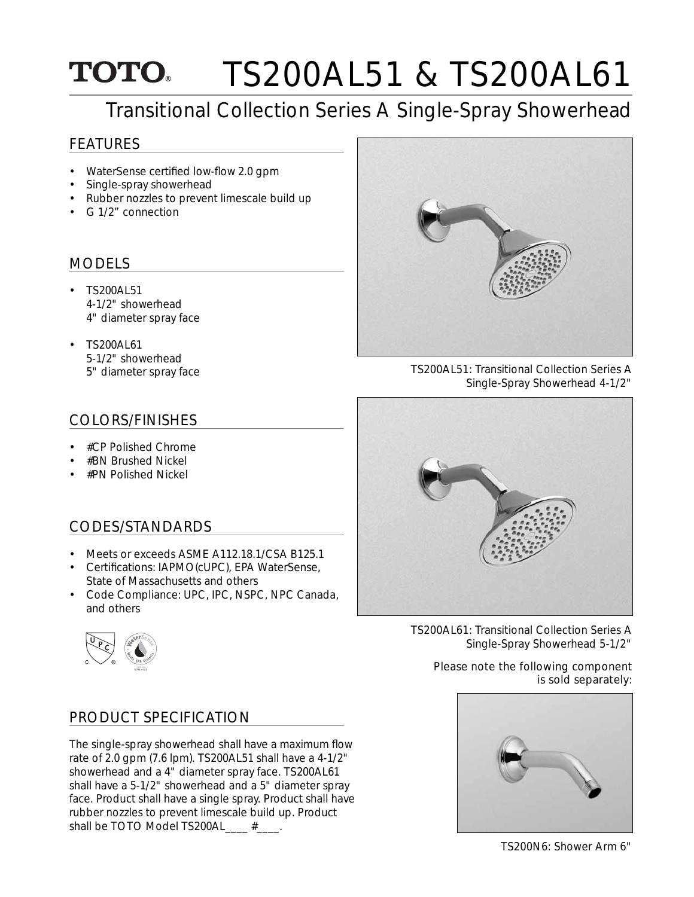## TS200AL51 & TS200AL61 **TOTO**

# Transitional Collection Series A Single-Spray Showerhead

#### FEATURES

- WaterSense certified low-flow 2.0 gpm
- Single-spray showerhead
- Rubber nozzles to prevent limescale build up
- G 1/2" connection

#### MODELS

- TS200AL51 4-1/2" showerhead 4" diameter spray face
- TS200AL61 5-1/2" showerhead

#### COLORS/FINISHES

- #CP Polished Chrome
- #BN Brushed Nickel
- #PN Polished Nickel

### CODES/STANDARDS

- Meets or exceeds ASME A112.18.1/CSA B125.1
- Certifications: IAPMO(cUPC), EPA WaterSense, State of Massachusetts and others
- Code Compliance: UPC, IPC, NSPC, NPC Canada, and others



### PRODUCT SPECIFICATION

The single-spray showerhead shall have a maximum flow rate of 2.0 gpm (7.6 lpm). TS200AL51 shall have a 4-1/2" showerhead and a 4" diameter spray face. TS200AL61 shall have a 5-1/2" showerhead and a 5" diameter spray face. Product shall have a single spray. Product shall have rubber nozzles to prevent limescale build up. Product shall be TOTO Model TS200AL\_\_\_\_ #\_\_\_\_.



5" diameter spray face TS200AL51: Transitional Collection Series A Single-Spray Showerhead 4-1/2"



TS200AL61: Transitional Collection Series A Single-Spray Showerhead 5-1/2"

Please note the following component is sold separately: